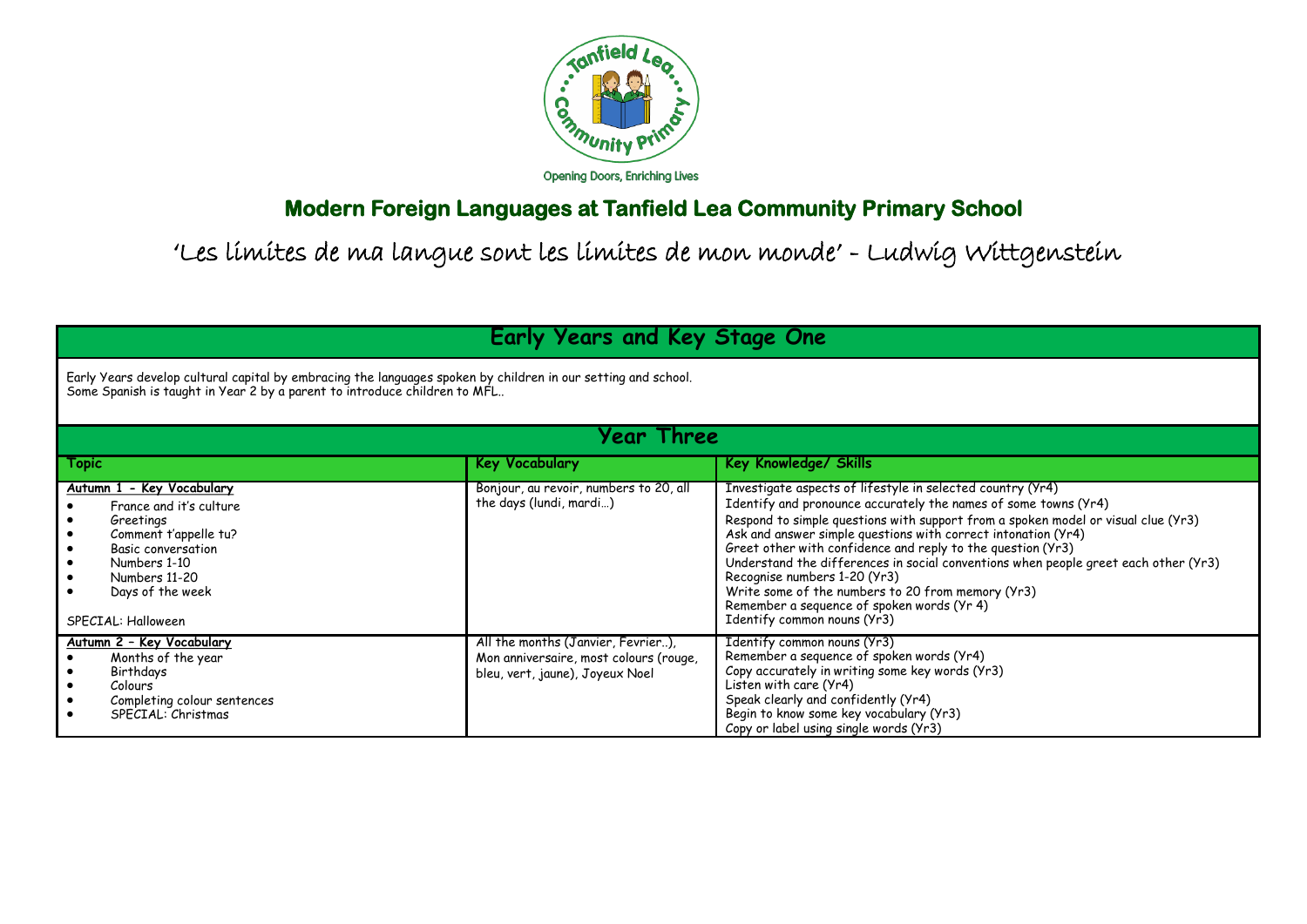

## **Modern Foreign Languages at Tanfield Lea Community Primary School**

## 'Les limites de ma langue sont les limites de mon monde' - Ludwig Wittgenstein

**Early Years and Key Stage One**

Early Years develop cultural capital by embracing the languages spoken by children in our setting and school. Some Spanish is taught in Year 2 by a parent to introduce children to MFL..

| Year Three                                                                                                                                                                                  |                                                                                                                 |                                                                                                                                                                                                                                                                                                                                                                                                                                                                                                                                                                                                             |  |  |
|---------------------------------------------------------------------------------------------------------------------------------------------------------------------------------------------|-----------------------------------------------------------------------------------------------------------------|-------------------------------------------------------------------------------------------------------------------------------------------------------------------------------------------------------------------------------------------------------------------------------------------------------------------------------------------------------------------------------------------------------------------------------------------------------------------------------------------------------------------------------------------------------------------------------------------------------------|--|--|
| Topic                                                                                                                                                                                       | <b>Key Vocabulary</b>                                                                                           | Key Knowledge/ Skills                                                                                                                                                                                                                                                                                                                                                                                                                                                                                                                                                                                       |  |  |
| Autumn 1 - Key Vocabulary<br>France and it's culture<br>Greetings<br>Comment t'appelle tu?<br>Basic conversation<br>Numbers 1-10<br>Numbers 11-20<br>Days of the week<br>SPECIAL: Halloween | Bonjour, au revoir, numbers to 20, all<br>the days (lundi, mardi)                                               | Investigate aspects of lifestyle in selected country (Yr4)<br>Identify and pronounce accurately the names of some towns (Yr4)<br>Respond to simple questions with support from a spoken model or visual clue (Yr3)<br>Ask and answer simple questions with correct intonation (Yr4)<br>Greet other with confidence and reply to the question (Yr3)<br>Understand the differences in social conventions when people greet each other (Yr3)<br>Recognise numbers 1-20 (Yr3)<br>Write some of the numbers to 20 from memory (Yr3)<br>Remember a sequence of spoken words (Yr 4)<br>Identify common nouns (Yr3) |  |  |
| Autumn 2 - Key Vocabulary<br>Months of the year<br>Birthdays<br>Colours<br>Completing colour sentences<br>SPFCIAL: Christmas                                                                | All the months (Janvier, Fevrier),<br>Mon anniversaire, most colours (rouge,<br>bleu, vert, jaune), Joyeux Noel | Identify common nouns (Yr3)<br>Remember a sequence of spoken words (Yr4)<br>Copy accurately in writing some key words (Yr3)<br>Listen with care (Yr4)<br>Speak clearly and confidently (Yr4)<br>Begin to know some key vocabulary (Yr3)<br>Copy or label using single words (Yr3)                                                                                                                                                                                                                                                                                                                           |  |  |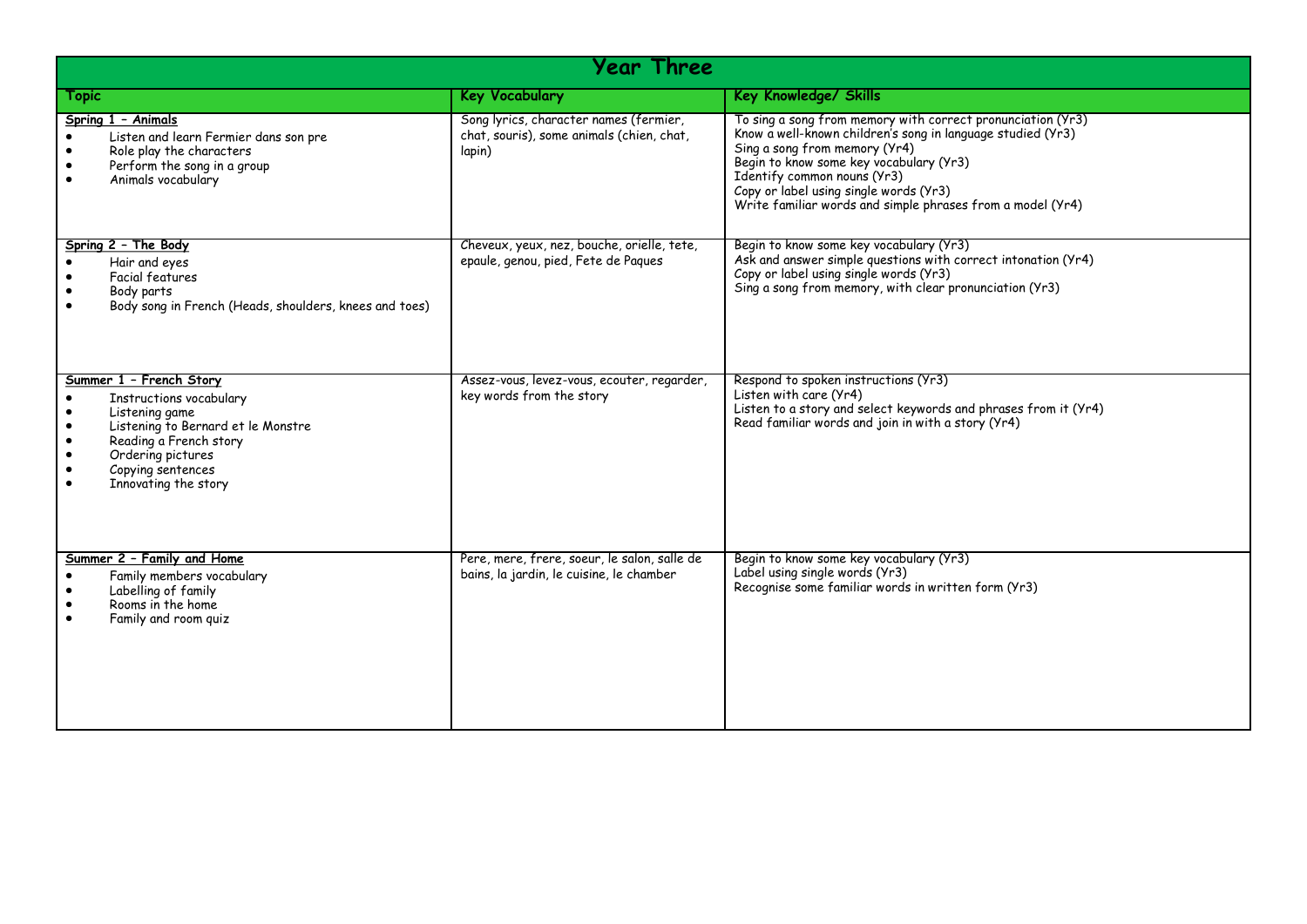| Year Three                                                                                                                                                                                                          |                                                                                               |                                                                                                                                                                                                                                                                                                                                               |  |  |
|---------------------------------------------------------------------------------------------------------------------------------------------------------------------------------------------------------------------|-----------------------------------------------------------------------------------------------|-----------------------------------------------------------------------------------------------------------------------------------------------------------------------------------------------------------------------------------------------------------------------------------------------------------------------------------------------|--|--|
| <b>Topic</b>                                                                                                                                                                                                        | <b>Key Vocabulary</b>                                                                         | Key Knowledge/ Skills                                                                                                                                                                                                                                                                                                                         |  |  |
| Spring 1 - Animals<br>Listen and learn Fermier dans son pre<br>Role play the characters<br>Perform the song in a group<br>Animals vocabulary                                                                        | Song lyrics, character names (fermier,<br>chat, souris), some animals (chien, chat,<br>lapin) | To sing a song from memory with correct pronunciation (Yr3)<br>Know a well-known children's song in language studied (Yr3)<br>Sing a song from memory (Yr4)<br>Begin to know some key vocabulary (Yr3)<br>Identify common nouns (Yr3)<br>Copy or label using single words (Yr3)<br>Write familiar words and simple phrases from a model (Yr4) |  |  |
| Spring 2 - The Body<br>Hair and eyes<br>Facial features<br>Body parts<br>Body song in French (Heads, shoulders, knees and toes)                                                                                     | Cheveux, yeux, nez, bouche, orielle, tete,<br>epaule, genou, pied, Fete de Paques             | Begin to know some key vocabulary (Yr3)<br>Ask and answer simple questions with correct intonation (Yr4)<br>Copy or label using single words (Yr3)<br>Sing a song from memory, with clear pronunciation (Yr3)                                                                                                                                 |  |  |
| Summer 1 - French Story<br>Instructions vocabulary<br>Listening game<br>Listening to Bernard et le Monstre<br>$\bullet$<br>Reading a French story<br>Ordering pictures<br>Copying sentences<br>Innovating the story | Assez-vous, levez-vous, ecouter, regarder,<br>key words from the story                        | Respond to spoken instructions (Yr3)<br>Listen with care (Yr4)<br>Listen to a story and select keywords and phrases from it (Yr4)<br>Read familiar words and join in with a story (Yr4)                                                                                                                                                       |  |  |
| Summer 2 - Family and Home<br>Family members vocabulary<br>Labelling of family<br>$\bullet$<br>Rooms in the home<br>Family and room guiz                                                                            | Pere, mere, frere, soeur, le salon, salle de<br>bains, la jardin, le cuisine, le chamber      | Begin to know some key vocabulary (Yr3)<br>Label using single words (Yr3)<br>Recognise some familiar words in written form (Yr3)                                                                                                                                                                                                              |  |  |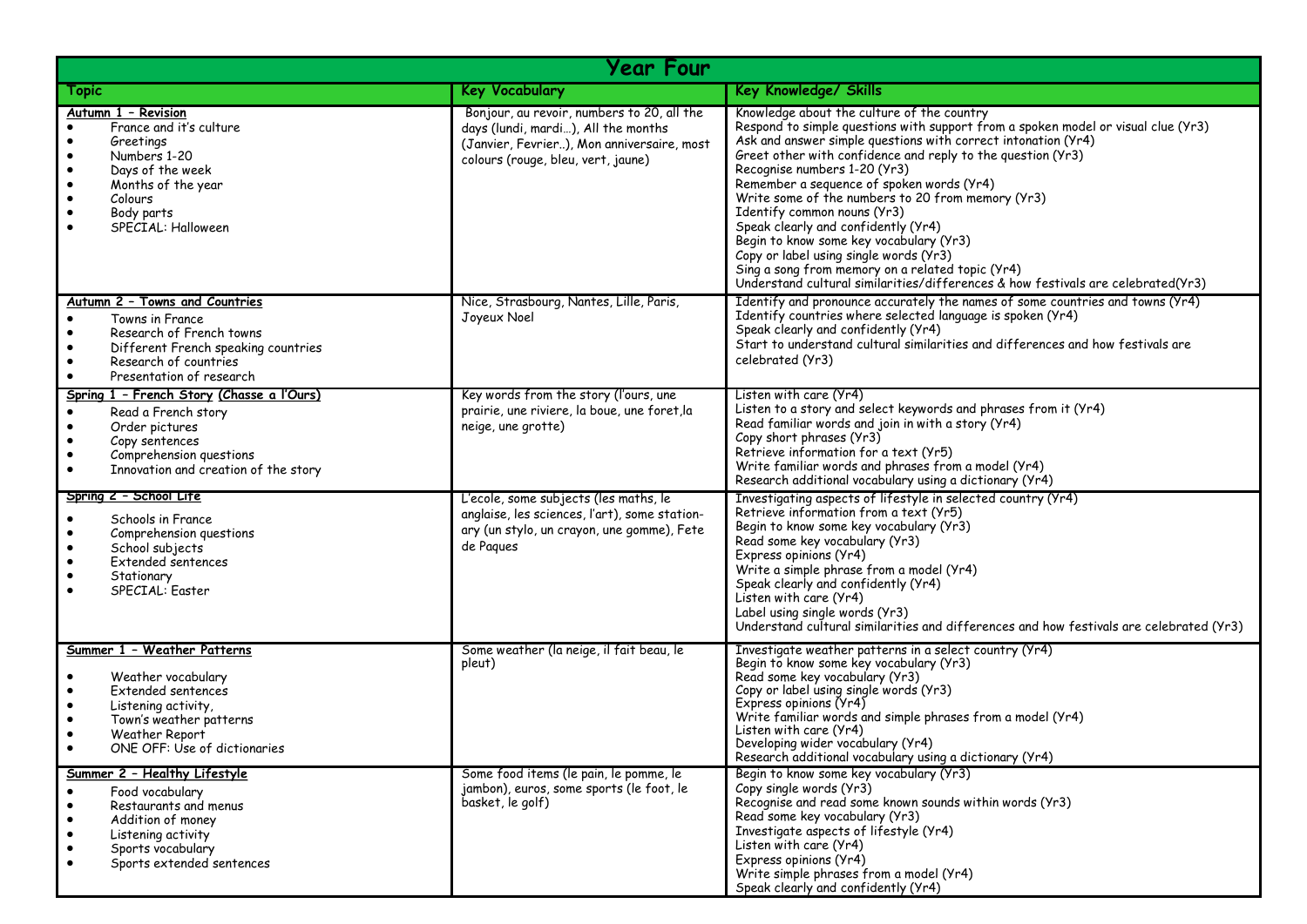| <b>Year Four</b>                                                                                                                                                                                                                           |                                                                                                                                                                       |                                                                                                                                                                                                                                                                                                                                                                                                                                                                                                                                                                                                                                                                                                      |  |  |
|--------------------------------------------------------------------------------------------------------------------------------------------------------------------------------------------------------------------------------------------|-----------------------------------------------------------------------------------------------------------------------------------------------------------------------|------------------------------------------------------------------------------------------------------------------------------------------------------------------------------------------------------------------------------------------------------------------------------------------------------------------------------------------------------------------------------------------------------------------------------------------------------------------------------------------------------------------------------------------------------------------------------------------------------------------------------------------------------------------------------------------------------|--|--|
| <b>Topic</b>                                                                                                                                                                                                                               | <b>Key Vocabulary</b>                                                                                                                                                 | Key Knowledge/ Skills                                                                                                                                                                                                                                                                                                                                                                                                                                                                                                                                                                                                                                                                                |  |  |
| <u>Autumn 1 - Revision</u><br>France and it's culture<br>$\bullet$<br>Greetings<br>Numbers 1-20<br>$\bullet$<br>Days of the week<br>$\bullet$<br>Months of the year<br>$\bullet$<br>Colours<br>Body parts<br>SPECIAL: Halloween            | Bonjour, au revoir, numbers to 20, all the<br>days (lundi, mardi), All the months<br>(Janvier, Fevrier), Mon anniversaire, most<br>colours (rouge, bleu, vert, jaune) | Knowledge about the culture of the country<br>Respond to simple questions with support from a spoken model or visual clue (Yr3)<br>Ask and answer simple questions with correct intonation (Yr4)<br>Greet other with confidence and reply to the question (Yr3)<br>Recognise numbers 1-20 (Yr3)<br>Remember a sequence of spoken words (Yr4)<br>Write some of the numbers to 20 from memory (Yr3)<br>Identify common nouns (Yr3)<br>Speak clearly and confidently (Yr4)<br>Begin to know some key vocabulary (Yr3)<br>Copy or label using single words (Yr3)<br>Sing a song from memory on a related topic (Yr4)<br>Understand cultural similarities/differences & how festivals are celebrated(Yr3) |  |  |
| Autumn 2 - Towns and Countries<br>Towns in France<br>$\bullet$<br>Research of French towns<br>$\bullet$<br>Different French speaking countries<br>$\bullet$<br>Research of countries<br>$\bullet$<br>Presentation of research<br>$\bullet$ | Nice, Strasbourg, Nantes, Lille, Paris,<br>Joyeux Noel                                                                                                                | Identify and pronounce accurately the names of some countries and towns (Yr4)<br>Identify countries where selected language is spoken (Yr4)<br>Speak clearly and confidently (Yr4)<br>Start to understand cultural similarities and differences and how festivals are<br>celebrated (Yr3)                                                                                                                                                                                                                                                                                                                                                                                                            |  |  |
| Spring 1 - French Story (Chasse a l'Ours)<br>Read a French story<br>$\bullet$<br>Order pictures<br>$\bullet$<br>Copy sentences<br>$\bullet$<br>Comprehension questions<br>$\bullet$<br>Innovation and creation of the story<br>$\bullet$   | Key words from the story (l'ours, une<br>prairie, une riviere, la boue, une foret, la<br>neige, une grotte)                                                           | Listen with care (Yr4)<br>Listen to a story and select keywords and phrases from it (Yr4)<br>Read familiar words and join in with a story (Yr4)<br>Copy short phrases (Yr3)<br>Retrieve information for a text (Yr5)<br>Write familiar words and phrases from a model (Yr4)<br>Research additional vocabulary using a dictionary (Yr4)                                                                                                                                                                                                                                                                                                                                                               |  |  |
| Spring 2 - School Life<br>Schools in France<br>$\bullet$<br>Comprehension questions<br>$\bullet$<br>School subjects<br>$\bullet$<br>Extended sentences<br>$\bullet$<br>Stationary<br>SPECIAL: Easter                                       | L'ecole, some subjects (les maths, le<br>anglaise, les sciences, l'art), some station-<br>ary (un stylo, un crayon, une gomme), Fete<br>de Pagues                     | Investigating aspects of lifestyle in selected country (Yr4)<br>Retrieve information from a text (Yr5)<br>Begin to know some key vocabulary (Yr3)<br>Read some key vocabulary (Yr3)<br>Express opinions (Yr4)<br>Write a simple phrase from a model (Yr4)<br>Speak clearly and confidently (Yr4)<br>Listen with care (Yr4)<br>Label using single words (Yr3)<br>Understand cultural similarities and differences and how festivals are celebrated (Yr3)                                                                                                                                                                                                                                              |  |  |
| Summer 1 - Weather Patterns<br>Weather vocabulary<br>Extended sentences<br>$\bullet$<br>Listening activity,<br>$\bullet$<br>Town's weather patterns<br>Weather Report<br>ONE OFF: Use of dictionaries                                      | Some weather (la neige, il fait beau, le<br>pleut)                                                                                                                    | Investigate weather patterns in a select country (Yr4)<br>Begin to know some key vocabulary (Yr3)<br>Read some key vocabulary (Yr3)<br>Copy or label using single words (Yr3)<br>Express opinions (Yr4)<br>Write familiar words and simple phrases from a model (Yr4)<br>Listen with care (Yr4)<br>Developing wider vocabulary (Yr4)<br>Research additional vocabulary using a dictionary (Yr4)                                                                                                                                                                                                                                                                                                      |  |  |
| Summer 2 - Healthy Lifestyle<br>Food vocabulary<br>Restaurants and menus<br>$\bullet$<br>Addition of money<br>$\bullet$<br>Listening activity<br>$\bullet$<br>Sports vocabulary<br>$\bullet$<br>Sports extended sentences<br>$\bullet$     | Some food items (le pain, le pomme, le<br>jambon), euros, some sports (le foot, le<br>basket, le golf)                                                                | Begin to know some key vocabulary (Yr3)<br>Copy single words (Yr3)<br>Recognise and read some known sounds within words (Yr3)<br>Read some key vocabulary (Yr3)<br>Investigate aspects of lifestyle (Yr4)<br>Listen with care (Yr4)<br>Express opinions (Yr4)<br>Write simple phrases from a model (Yr4)<br>Speak clearly and confidently (Yr4)                                                                                                                                                                                                                                                                                                                                                      |  |  |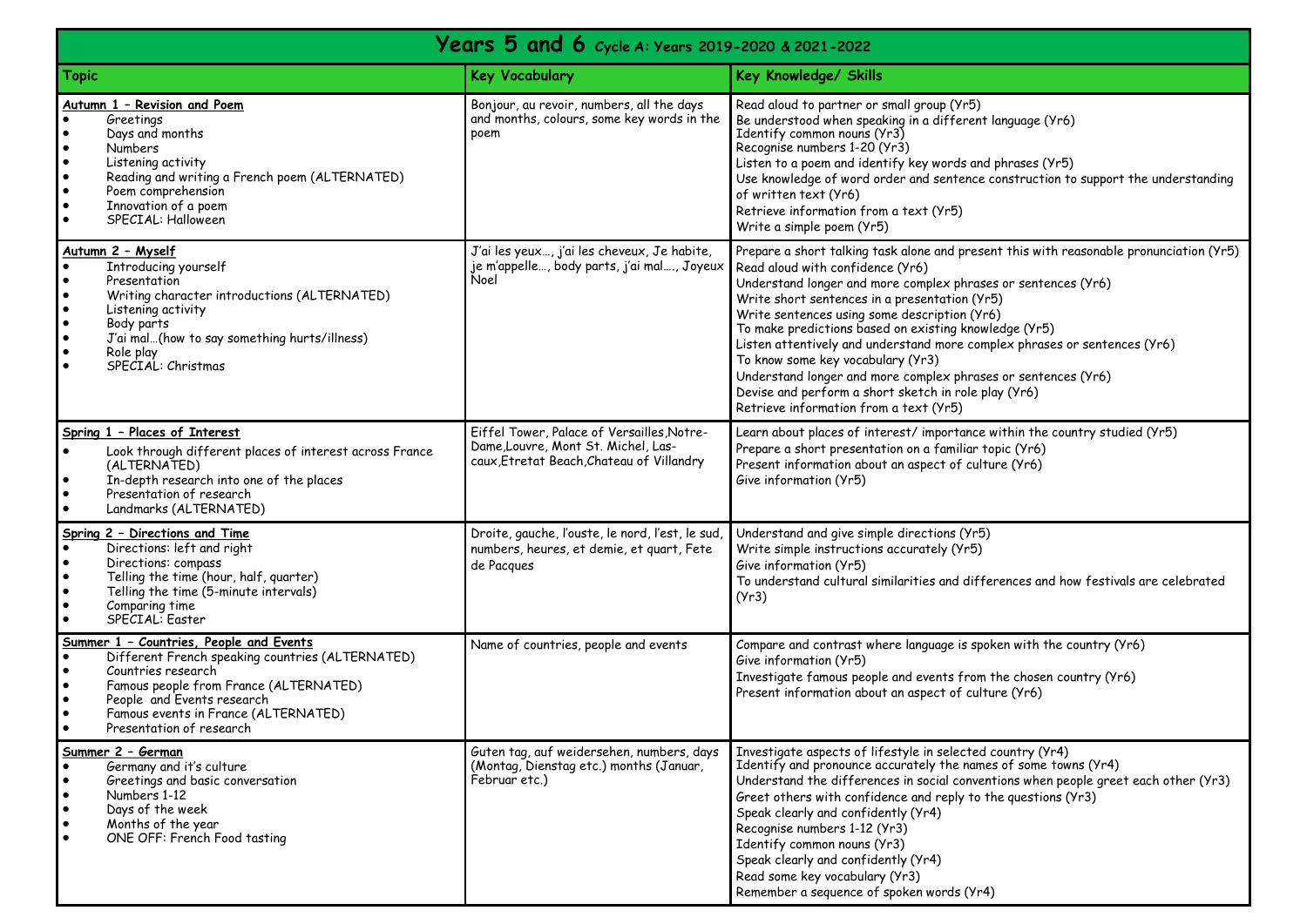| Years 5 and 6 Cycle A: Years 2019-2020 & 2021-2022                                                                                                                                                                                                                                                                             |                                                                                                                                |                                                                                                                                                                                                                                                                                                                                                                                                                                                                                                                                                                                                                                             |  |  |
|--------------------------------------------------------------------------------------------------------------------------------------------------------------------------------------------------------------------------------------------------------------------------------------------------------------------------------|--------------------------------------------------------------------------------------------------------------------------------|---------------------------------------------------------------------------------------------------------------------------------------------------------------------------------------------------------------------------------------------------------------------------------------------------------------------------------------------------------------------------------------------------------------------------------------------------------------------------------------------------------------------------------------------------------------------------------------------------------------------------------------------|--|--|
| <b>Topic</b>                                                                                                                                                                                                                                                                                                                   | <b>Key Vocabulary</b>                                                                                                          | Key Knowledge/ Skills                                                                                                                                                                                                                                                                                                                                                                                                                                                                                                                                                                                                                       |  |  |
| Autumn 1 - Revision and Poem<br>Greetings<br>$\bullet$<br>Days and months<br><b>Numbers</b><br>$\bullet$<br>$\bullet$<br>Listening activity<br>$\bullet$<br>Reading and writing a French poem (ALTERNATED)<br>$\bullet$<br>Poem comprehension<br>$\bullet$<br>Innovation of a poem<br>SPECIAL: Halloween<br>$\bullet$          | Bonjour, au revoir, numbers, all the days<br>and months, colours, some key words in the<br>poem                                | Read aloud to partner or small group (Yr5)<br>Be understood when speaking in a different language (Yr6)<br>Identify common nouns (Yr3)<br>Recognise numbers 1-20 (Yr3)<br>Listen to a poem and identify key words and phrases (Yr5)<br>Use knowledge of word order and sentence construction to support the understanding<br>of written text (Yr6)<br>Retrieve information from a text (Yr5)<br>Write a simple poem (Yr5)                                                                                                                                                                                                                   |  |  |
| Autumn 2 - Myself<br>Introducing yourself<br>$\bullet$<br>Presentation<br>$\bullet$<br>Writing character introductions (ALTERNATED)<br>$\bullet$<br>Listening activity<br>$\bullet$<br>Body parts<br>$\bullet$<br>J'ai mal(how to say something hurts/illness)<br>$\bullet$<br>Role play<br>$\bullet$<br>SPECIAL: Christmas    | J'ai les yeux, j'ai les cheveux, Je habite,<br>je m'appelle, body parts, j'ai mal, Joyeux<br>Noel                              | Prepare a short talking task alone and present this with reasonable pronunciation (Yr5)<br>Read aloud with confidence (Yr6)<br>Understand longer and more complex phrases or sentences (Yr6)<br>Write short sentences in a presentation (Yr5)<br>Write sentences using some description (Yr6)<br>To make predictions based on existing knowledge (Yr5)<br>Listen attentively and understand more complex phrases or sentences (Yr6)<br>To know some key vocabulary (Yr3)<br>Understand longer and more complex phrases or sentences (Yr6)<br>Devise and perform a short sketch in role play (Yr6)<br>Retrieve information from a text (Yr5) |  |  |
| Spring 1 - Places of Interest<br>Look through different places of interest across France<br>$\bullet$<br>(ALTERNATED)<br>In-depth research into one of the places<br>$\bullet$<br>Presentation of research<br>$\bullet$<br>Landmarks (ALTERNATED)                                                                              | Eiffel Tower, Palace of Versailles, Notre-<br>Dame, Louvre, Mont St. Michel, Las-<br>caux, Etretat Beach, Chateau of Villandry | Learn about places of interest/ importance within the country studied (Yr5)<br>Prepare a short presentation on a familiar topic (Yr6)<br>Present information about an aspect of culture (Yr6)<br>Give information (Yr5)                                                                                                                                                                                                                                                                                                                                                                                                                     |  |  |
| Spring 2 - Directions and Time<br>Directions: left and right<br>$\bullet$<br>$\bullet$<br>Directions: compass<br>$\bullet$<br>Telling the time (hour, half, quarter)<br>$\bullet$<br>Telling the time (5-minute intervals)<br>$\bullet$<br>Comparing time<br>SPECIAL: Easter<br>$\bullet$                                      | Droite, gauche, l'ouste, le nord, l'est, le sud,<br>numbers, heures, et demie, et quart, Fete<br>de Pacques                    | Understand and give simple directions (Yr5)<br>Write simple instructions accurately (Yr5)<br>Give information (Yr5)<br>To understand cultural similarities and differences and how festivals are celebrated<br>(Yr3)                                                                                                                                                                                                                                                                                                                                                                                                                        |  |  |
| Summer 1 - Countries, People and Events<br>Different French speaking countries (ALTERNATED)<br>$\bullet$<br>Countries research<br>$\bullet$<br>$\bullet$<br>Famous people from France (ALTERNATED)<br>$\bullet$<br>People and Events research<br>$\bullet$<br>Famous events in France (ALTERNATED)<br>Presentation of research | Name of countries, people and events                                                                                           | Compare and contrast where language is spoken with the country (Yr6)<br>Give information (Yr5)<br>Investigate famous people and events from the chosen country (Yr6)<br>Present information about an aspect of culture (Yr6)                                                                                                                                                                                                                                                                                                                                                                                                                |  |  |
| Summer 2 - German<br>Germany and it's culture<br>Greetings and basic conversation<br>$\bullet$<br>$\bullet$<br>Numbers 1-12<br>Days of the week<br>$\bullet$<br>Months of the year<br>$\bullet$<br>ONE OFF: French Food tasting<br>$\bullet$                                                                                   | Guten tag, auf weidersehen, numbers, days<br>(Montag, Dienstag etc.) months (Januar,<br>Februar etc.)                          | Investigate aspects of lifestyle in selected country (Yr4)<br>Identify and pronounce accurately the names of some towns (Yr4)<br>Understand the differences in social conventions when people greet each other (Yr3)<br>Greet others with confidence and reply to the questions (Yr3)<br>Speak clearly and confidently (Yr4)<br>Recognise numbers 1-12 (Yr3)<br>Identify common nouns (Yr3)<br>Speak clearly and confidently (Yr4)<br>Read some key vocabulary (Yr3)<br>Remember a sequence of spoken words (Yr4)                                                                                                                           |  |  |